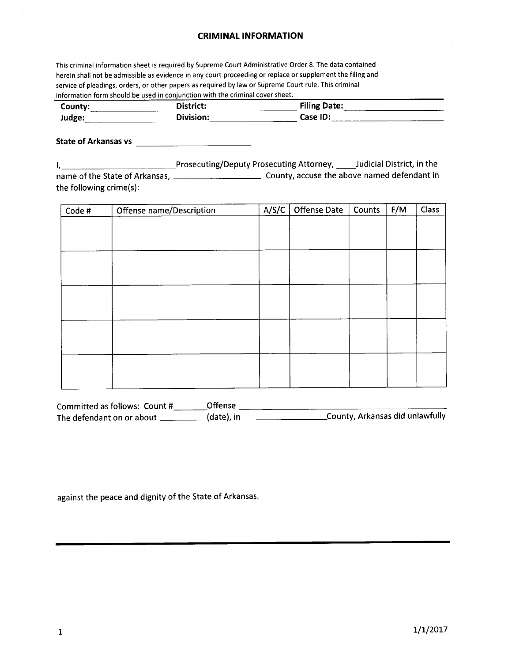## CRIMINAL INFORMATION

This criminal information sheet is required by Supreme Court Administrative Order 8. The data contained herein shall not be admissible as evidence in any court proceeding or replace or supplement the filing and service of pleadings, orders, or other papers as required by law or Supreme Court rule. This criminal information form should be used in conjunction with the criminal cover sheet.

| County: | <b>District:</b> | -------<br><b>Filing Date:</b> |
|---------|------------------|--------------------------------|
| Judge:  | ີ ∩ivision:      | Case ID:<br>____               |

State of Arkansas vs

I, 1. 2010 1. Prosecuting/Deputy Prosecuting Attorney, 2010 10 Judicial District, in the name of the state of Arkansas, County, accuse the above named defendant in the following crime(s):

| Code # | Offense name/Description | A/S/C | <b>Offense Date</b> | Counts | F/M | Class |
|--------|--------------------------|-------|---------------------|--------|-----|-------|
|        |                          |       |                     |        |     |       |
|        |                          |       |                     |        |     |       |
|        |                          |       |                     |        |     |       |
|        |                          |       |                     |        |     |       |
|        |                          |       |                     |        |     |       |
|        |                          |       |                     |        |     |       |
|        |                          |       |                     |        |     |       |
|        |                          |       |                     |        |     |       |
|        |                          |       |                     |        |     |       |
|        |                          |       |                     |        |     |       |
|        |                          |       |                     |        |     |       |
|        |                          |       |                     |        |     |       |
|        |                          |       |                     |        |     |       |
|        | $\sim$                   |       |                     |        |     |       |

| Committed as follows: Count # | <b>Offense</b> |                                  |
|-------------------------------|----------------|----------------------------------|
| The defendant on or about     | (date), in J   | _County, Arkansas did unlawfully |

against the peace and dignity of the State of Arkansas.